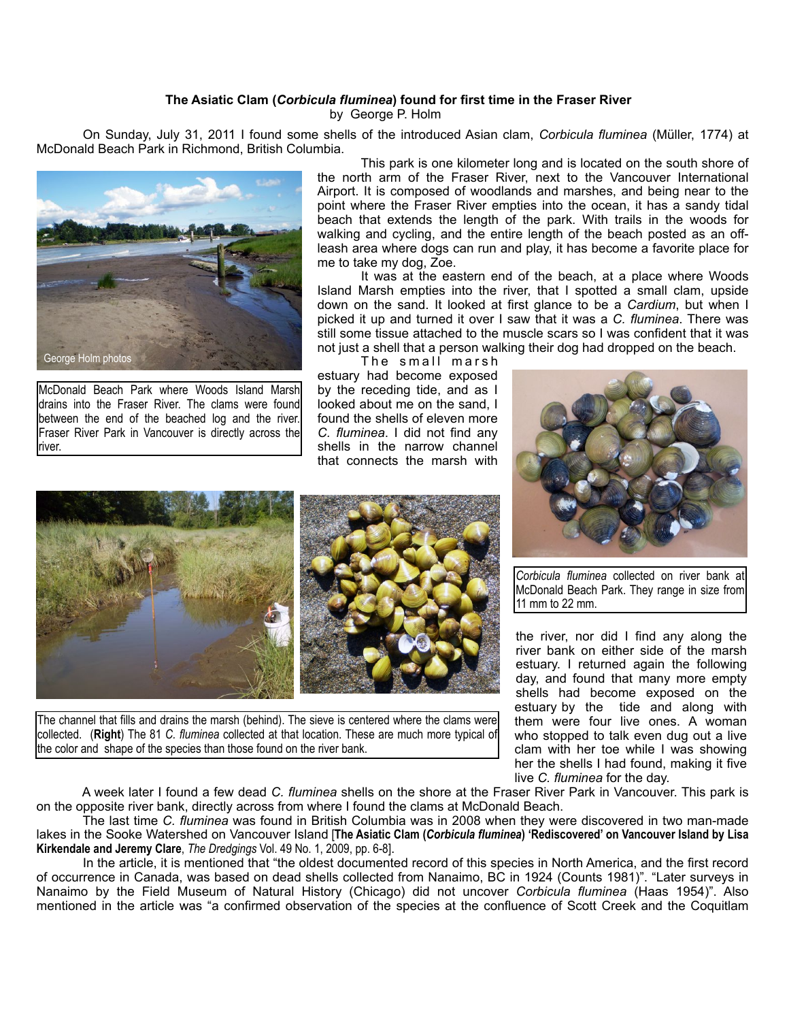## **The Asiatic Clam (***Corbicula fluminea***) found for first time in the Fraser River**

by George P. Holm

 On Sunday, July 31, 2011 I found some shells of the introduced Asian clam, *Corbicula fluminea* (Müller, 1774) at McDonald Beach Park in Richmond, British Columbia.



McDonald Beach Park where Woods Island Marsh drains into the Fraser River. The clams were found between the end of the beached log and the river. Fraser River Park in Vancouver is directly across the river.

 This park is one kilometer long and is located on the south shore of the north arm of the Fraser River, next to the Vancouver International Airport. It is composed of woodlands and marshes, and being near to the point where the Fraser River empties into the ocean, it has a sandy tidal beach that extends the length of the park. With trails in the woods for walking and cycling, and the entire length of the beach posted as an offleash area where dogs can run and play, it has become a favorite place for me to take my dog, Zoe.

 It was at the eastern end of the beach, at a place where Woods Island Marsh empties into the river, that I spotted a small clam, upside down on the sand. It looked at first glance to be a *Cardium*, but when I picked it up and turned it over I saw that it was a *C. fluminea*. There was still some tissue attached to the muscle scars so I was confident that it was not just a shell that a person walking their dog had dropped on the beach.

The small marsh estuary had become exposed by the receding tide, and as I looked about me on the sand, I found the shells of eleven more *C. fluminea*. I did not find any shells in the narrow channel that connects the marsh with



*Corbicula fluminea* collected on river bank at McDonald Beach Park. They range in size from 11 mm to 22 mm.

the river, nor did I find any along the river bank on either side of the marsh estuary. I returned again the following day, and found that many more empty shells had become exposed on the estuary by the tide and along with them were four live ones. A woman who stopped to talk even dug out a live clam with her toe while I was showing her the shells I had found, making it five live *C. fluminea* for the day.

The channel that fills and drains the marsh (behind). The sieve is centered where the clams were collected. (**Right**) The 81 *C. fluminea* collected at that location. These are much more typical of the color and shape of the species than those found on the river bank.

 A week later I found a few dead *C. fluminea* shells on the shore at the Fraser River Park in Vancouver. This park is on the opposite river bank, directly across from where I found the clams at McDonald Beach.

 The last time *C. fluminea* was found in British Columbia was in 2008 when they were discovered in two man-made lakes in the Sooke Watershed on Vancouver Island [**The Asiatic Clam (***Corbicula fluminea***) 'Rediscovered' on Vancouver Island by Lisa Kirkendale and Jeremy Clare**, *The Dredgings* Vol. 49 No. 1, 2009, pp. 6-8].

 In the article, it is mentioned that "the oldest documented record of this species in North America, and the first record of occurrence in Canada, was based on dead shells collected from Nanaimo, BC in 1924 (Counts 1981)". "Later surveys in Nanaimo by the Field Museum of Natural History (Chicago) did not uncover *Corbicula fluminea* (Haas 1954)". Also mentioned in the article was "a confirmed observation of the species at the confluence of Scott Creek and the Coquitlam